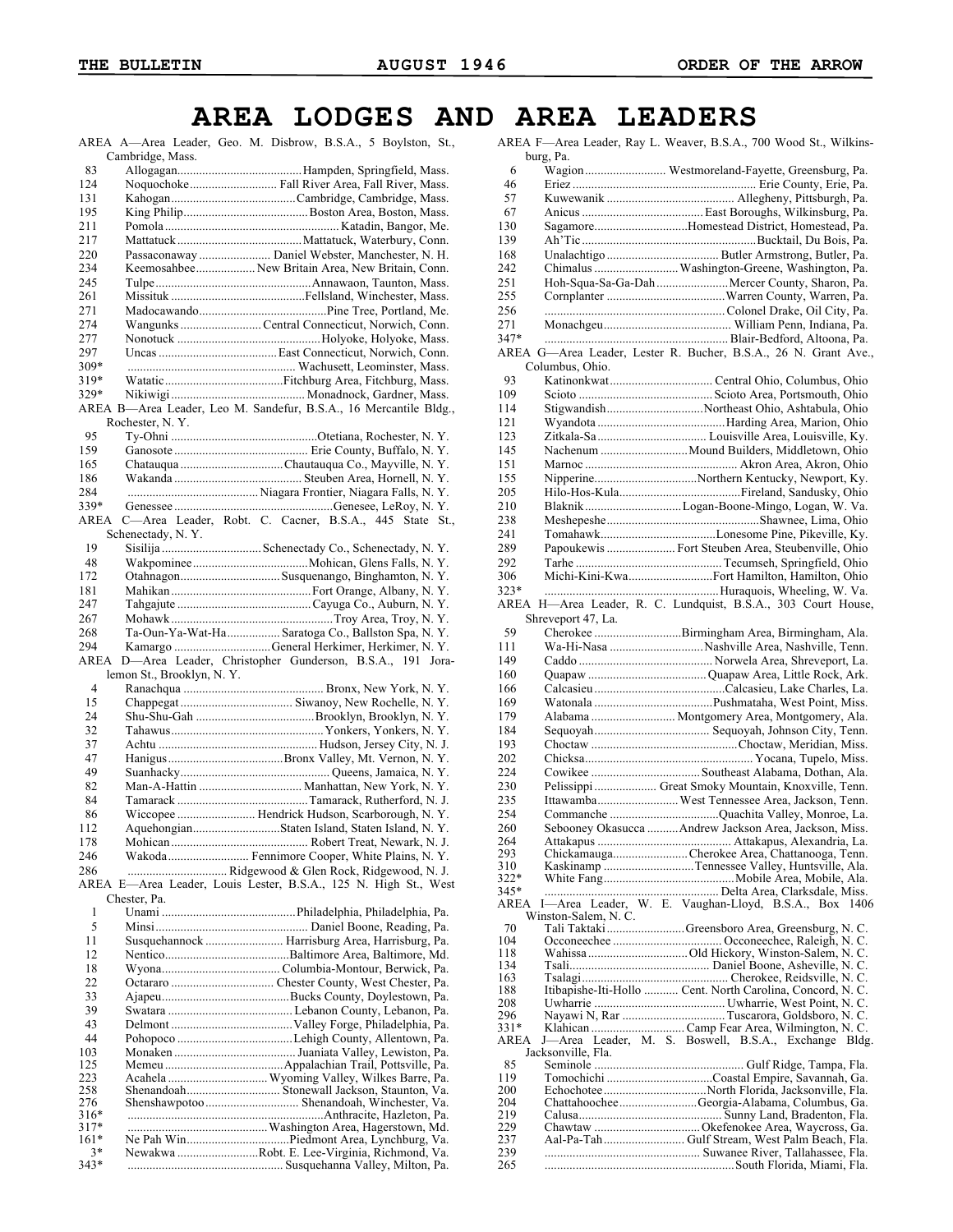## **AREA LODGES AND AREA LEADERS**

AREA A—Area Leader, Geo. M. Disbrow, B.S.A., 5 Boylston, St., Cambridge, Mass.

| 83          |                                                                                      |  |
|-------------|--------------------------------------------------------------------------------------|--|
| 124         | Noquochoke Fall River Area, Fall River, Mass.                                        |  |
| 131         |                                                                                      |  |
| 195         |                                                                                      |  |
| 211         |                                                                                      |  |
| 217         |                                                                                      |  |
| 220         | Passaconaway  Daniel Webster, Manchester, N. H.                                      |  |
| 234         | Keemosahbee  New Britain Area, New Britain, Conn.                                    |  |
| 245         |                                                                                      |  |
| 261         |                                                                                      |  |
| 271         |                                                                                      |  |
| 274         | WangunksCentral Connecticut, Norwich, Conn.                                          |  |
| 277         |                                                                                      |  |
| 297         |                                                                                      |  |
| 309*        |                                                                                      |  |
| 319*        |                                                                                      |  |
| 329*        |                                                                                      |  |
|             |                                                                                      |  |
|             | AREA B-Area Leader, Leo M. Sandefur, B.S.A., 16 Mercantile Bldg.,<br>Rochester, N.Y. |  |
| 95          |                                                                                      |  |
| 159         |                                                                                      |  |
|             |                                                                                      |  |
| 165         |                                                                                      |  |
| 186         |                                                                                      |  |
| 284         |                                                                                      |  |
| 339*        |                                                                                      |  |
| AREA        | C-Area Leader, Robt. C. Cacner, B.S.A., 445 State St.,                               |  |
|             | Schenectady, N.Y.                                                                    |  |
| 19          |                                                                                      |  |
| 48          |                                                                                      |  |
| 172         | Otahnagon Susquenango, Binghamton, N.Y.                                              |  |
| 181         |                                                                                      |  |
| 247         |                                                                                      |  |
| 267         |                                                                                      |  |
| 268         | Ta-Oun-Ya-Wat-Ha  Saratoga Co., Ballston Spa, N.Y.                                   |  |
| 294         | Kamargo General Herkimer, Herkimer, N.Y.                                             |  |
| <b>AREA</b> | D-Area Leader, Christopher Gunderson, B.S.A., 191 Jora-                              |  |
|             | lemon St., Brooklyn, N.Y.                                                            |  |
| 4           |                                                                                      |  |
| 15          |                                                                                      |  |
| 24          |                                                                                      |  |
| 32          |                                                                                      |  |
| 37          |                                                                                      |  |
|             |                                                                                      |  |
| 47          |                                                                                      |  |
| 49          |                                                                                      |  |
| 82          | Man-A-Hattin  Manhattan, New York, N.Y.                                              |  |
| 84          |                                                                                      |  |
| 86          | Wiccopee  Hendrick Hudson, Scarborough, N.Y.                                         |  |
| 112         | AquehongianStaten Island, Staten Island, N.Y.                                        |  |
| 178         |                                                                                      |  |
| 246         | Wakoda  Fennimore Cooper, White Plains, N.Y.                                         |  |
| 286         | Ridgewood & Glen Rock, Ridgewood, N. J.                                              |  |
|             | AREA E-Area Leader, Louis Lester, B.S.A., 125 N. High St., West                      |  |
|             | Chester, Pa.                                                                         |  |
| 1           |                                                                                      |  |
| 5           |                                                                                      |  |

| 5      |                                                 |
|--------|-------------------------------------------------|
| 11     | Susquehannock  Harrisburg Area, Harrisburg, Pa. |
| 12     |                                                 |
| 18     |                                                 |
| 22     |                                                 |
| 33     |                                                 |
| 39     |                                                 |
| 43     |                                                 |
| 44     |                                                 |
| 103    |                                                 |
| 125    |                                                 |
| 223    | Acahela  Wyoming Valley, Wilkes Barre, Pa.      |
| 258    |                                                 |
| 276    | Shenshawpotoo  Shenandoah, Winchester, Va.      |
| $316*$ |                                                 |
| $317*$ |                                                 |
| $161*$ |                                                 |
| $3*$   | Newakwa Robt. E. Lee-Virginia, Richmond, Va.    |
| $343*$ |                                                 |
|        |                                                 |

|             | AREA F-Area Leader, Ray L. Weaver, B.S.A., 700 Wood St., Wilkins- |       |
|-------------|-------------------------------------------------------------------|-------|
|             | burg, Pa.                                                         |       |
| 6           | Wagion Westmoreland-Fayette, Greensburg, Pa.                      |       |
| 46          |                                                                   |       |
| 57          |                                                                   |       |
| 67          |                                                                   |       |
| 130         | SagamoreHomestead District, Homestead, Pa.                        |       |
| 139         |                                                                   |       |
| 168         |                                                                   |       |
| 242         | Chimalus  Washington-Greene, Washington, Pa.                      |       |
| 251         | Hoh-Squa-Sa-Ga-Dah  Mercer County, Sharon, Pa.                    |       |
| 255         |                                                                   |       |
| 256         |                                                                   |       |
| 271         |                                                                   |       |
| 347*        |                                                                   |       |
|             | AREA G-Area Leader, Lester R. Bucher, B.S.A., 26 N. Grant Ave.,   |       |
|             | Columbus, Ohio.                                                   |       |
| 93          |                                                                   |       |
| 109         |                                                                   |       |
| 114         | StigwandishNortheast Ohio, Ashtabula, Ohio                        |       |
| 121         |                                                                   |       |
| 123         |                                                                   |       |
| 145         | Nachenum  Mound Builders, Middletown, Ohio                        |       |
| 151         |                                                                   |       |
| 155         | NipperineNorthern Kentucky, Newport, Ky.                          |       |
| 205         |                                                                   |       |
| 210         | Blaknik Logan-Boone-Mingo, Logan, W. Va.                          |       |
| 238         |                                                                   |       |
| 241         |                                                                   |       |
| 289         | Papoukewis  Fort Steuben Area, Steubenville, Ohio                 |       |
| 292         |                                                                   |       |
| 306         | Michi-Kini-KwaFort Hamilton, Hamilton, Ohio                       |       |
| $323*$      |                                                                   |       |
|             | AREA H-Area Leader, R. C. Lundquist, B.S.A., 303 Court House,     |       |
|             | Shreveport 47, La.                                                |       |
| 59          | Cherokee Birmingham Area, Birmingham, Ala.                        |       |
| 111         | Wa-Hi-Nasa Nashville Area, Nashville, Tenn.                       |       |
| 149         |                                                                   |       |
| 160         |                                                                   |       |
| 166         |                                                                   |       |
| 169         |                                                                   |       |
| 179         | Alabama  Montgomery Area, Montgomery, Ala.                        |       |
| 184         |                                                                   |       |
| 193         |                                                                   |       |
| 202         |                                                                   |       |
| 224         |                                                                   |       |
| 230         | Pelissippi  Great Smoky Mountain, Knoxville, Tenn.                |       |
| 235         | Ittawamba West Tennessee Area, Jackson, Tenn.                     |       |
| 254         | Commanche Quachita Valley, Monroe, La.                            |       |
| 260         | Sebooney Okasucca Andrew Jackson Area, Jackson, Miss.             |       |
| 264         |                                                                   |       |
| 293         | ChickamaugaCherokee Area, Chattanooga, Tenn.                      |       |
| 310<br>322* | Kaskinamp Tennessee Valley, Huntsville, Ala.                      |       |
| $345*$      |                                                                   |       |
| AREA        | I-Area Leader, W. E. Vaughan-Lloyd, B.S.A., Box 1406              |       |
|             | Winston-Salem, N. C.                                              |       |
| 70          | Tali TaktakiGreensboro Area, Greensburg, N. C.                    |       |
| 104         |                                                                   |       |
| 118         |                                                                   |       |
| 134<br>163  |                                                                   |       |
| 188         | Itibapishe-Iti-Hollo  Cent. North Carolina, Concord, N. C.        |       |
| 208         |                                                                   |       |
| 296         |                                                                   |       |
| $331*$      | Klahican  Camp Fear Area, Wilmington, N. C.                       |       |
| AREA        | J-Area Leader, M. S. Boswell, B.S.A., Exchange                    | Bldg. |
|             | Jacksonville, Fla.                                                |       |
| 85          |                                                                   |       |
| 119<br>200  | EchochoteeNorth Florida, Jacksonville, Fla.                       |       |
| 204         | ChattahoocheeGeorgia-Alabama, Columbus, Ga.                       |       |
| 219         |                                                                   |       |
| 229         |                                                                   |       |
| 237         | Aal-Pa-Tah  Gulf Stream, West Palm Beach, Fla.                    |       |
| 239         |                                                                   |       |
| 265         |                                                                   |       |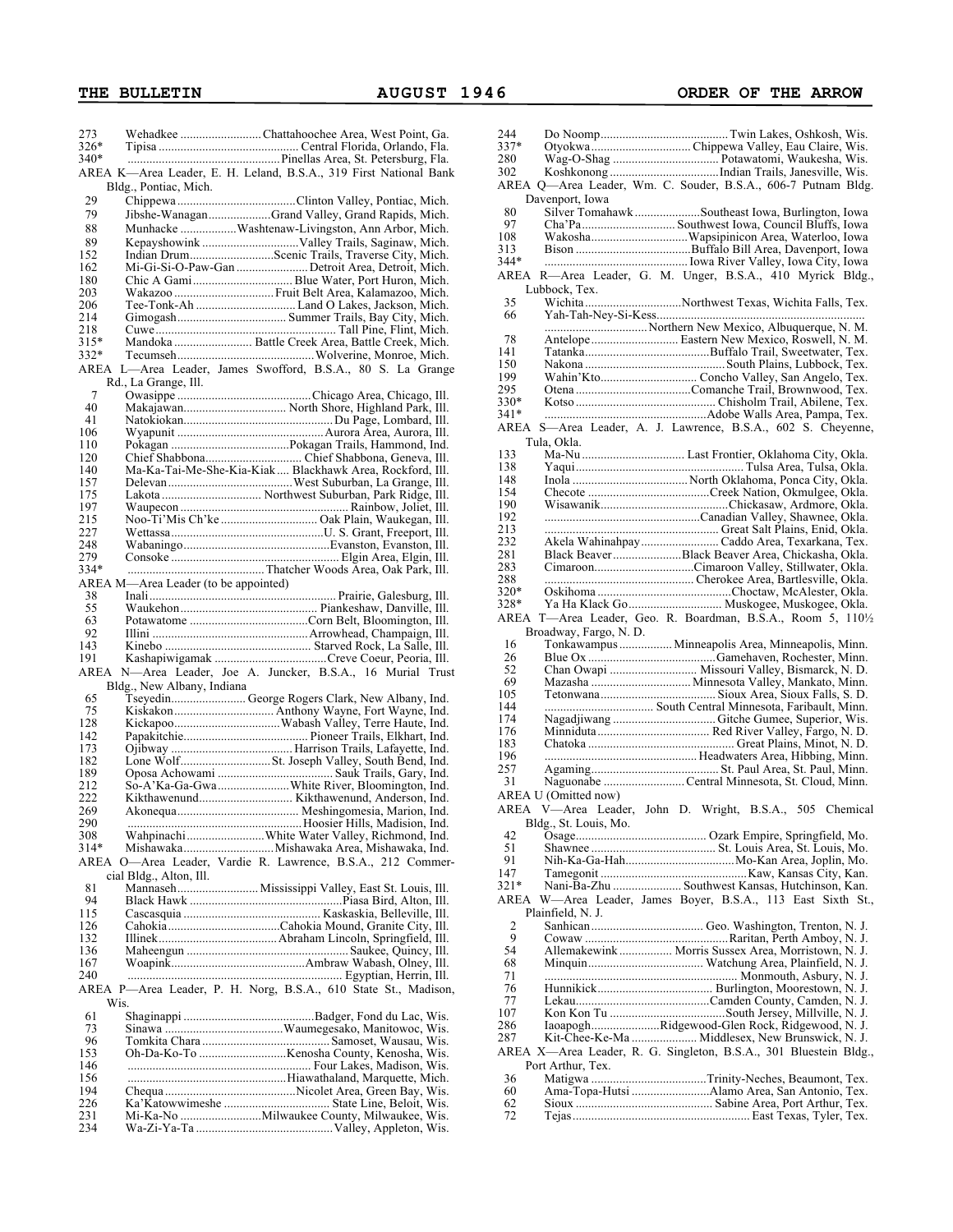| 273    |                                      | Wehadkee Chattahoochee Area, West Point, Ga.                      | 244            | Do Noo              |
|--------|--------------------------------------|-------------------------------------------------------------------|----------------|---------------------|
| $326*$ |                                      |                                                                   | 337*           | Otyokw              |
| $340*$ |                                      |                                                                   | 280            | Wag-O-              |
|        |                                      | AREA K—Area Leader, E. H. Leland, B.S.A., 319 First National Bank | 302            | Koshko              |
|        | Bldg., Pontiac, Mich.                |                                                                   |                | AREA Q—Area         |
| 29     |                                      |                                                                   |                | Davenport,          |
|        |                                      |                                                                   | 80             | Silver T            |
| 79     |                                      | Jibshe-WanaganGrand Valley, Grand Rapids, Mich.                   | 97             | Cha'Pa.             |
| 88     |                                      | Munhacke Washtenaw-Livingston, Ann Arbor, Mich.                   | 108            | Wakosł              |
| 89     |                                      |                                                                   | 313            | Bison               |
| 152    |                                      | Indian DrumScenic Trails, Traverse City, Mich.                    | 344*           | .                   |
| 162    |                                      | Mi-Gi-Si-O-Paw-Gan Detroit Area, Detroit, Mich.                   |                | $R - Area$          |
| 180    |                                      |                                                                   | AREA           |                     |
| 203    |                                      |                                                                   |                | Lubbock, T          |
| 206    |                                      | Tee-Tonk-Ah  Land O Lakes, Jackson, Mich.                         | 35             | Wichita             |
| 214    |                                      |                                                                   | 66             | Yah-Ta              |
| 218    |                                      |                                                                   |                | .                   |
| $315*$ |                                      |                                                                   | 78             | Antelop             |
| $332*$ |                                      |                                                                   | 141            | Tatanka             |
|        |                                      | AREA L-Area Leader, James Swofford, B.S.A., 80 S. La Grange       | 150            | Nakona              |
|        | Rd., La Grange, Ill.                 |                                                                   | 199            | Wahin'.             |
| 7      |                                      |                                                                   | 295            | Otena               |
| 40     |                                      |                                                                   | 330*           | Kotso               |
| 41     |                                      |                                                                   | $341*$         | .                   |
| 106    |                                      |                                                                   |                | AREA S-Area         |
| 110    |                                      |                                                                   |                | Tula, Okla.         |
| 120    |                                      |                                                                   | 133            | Ma-Nu.              |
| 140    |                                      | Ma-Ka-Tai-Me-She-Kia-Kiak  Blackhawk Area, Rockford, Ill.         | 138            | Yaqui               |
| 157    |                                      |                                                                   | 148            | Inola               |
|        |                                      |                                                                   | 154            | Checote             |
| 175    |                                      |                                                                   | 190            | Wisawa              |
| 197    |                                      |                                                                   | 192            | .                   |
| 215    |                                      | Noo-Ti'Mis Ch'ke  Oak Plain, Waukegan, Ill.                       | 213            |                     |
| 227    |                                      |                                                                   | 232            | .<br>Akela V        |
| 248    |                                      |                                                                   | 281            | Black B             |
| 279    |                                      |                                                                   | 283            | Cimaro              |
| 334*   |                                      |                                                                   |                |                     |
|        | AREA M—Area Leader (to be appointed) |                                                                   | 288            | .                   |
| 38     |                                      |                                                                   | 320*           | Oskihoi             |
| 55     |                                      |                                                                   | 328*           | Ya Ha I             |
| 63     |                                      |                                                                   |                | AREA T-Area         |
| 92     |                                      |                                                                   |                | Broadway,           |
| 143    |                                      |                                                                   | 16             | Tonkaw              |
| 191    |                                      |                                                                   | 26             | Blue O <sub>2</sub> |
|        |                                      | AREA N-Area Leader, Joe A. Juncker, B.S.A., 16 Murial Trust       | 52             | Chan O              |
|        | Bldg., New Albany, Indiana           |                                                                   | 69             | Mazash              |
| 65     |                                      | Tseyedin George Rogers Clark, New Albany, Ind.                    | 105            | Tetonw              |
| 75     |                                      |                                                                   | 144            | .                   |
| 128    |                                      |                                                                   | 174            | Nagadji             |
| 142    |                                      |                                                                   | 176            | Minnidı             |
| 173    |                                      |                                                                   | 183            | Chatoka             |
| 182    |                                      |                                                                   | 196            | .                   |
| 189    |                                      |                                                                   | 257            | Agamin              |
| 212    |                                      | So-A'Ka-Ga-GwaWhite River, Bloomington, Ind.                      | 31             | Naguon              |
| 222    |                                      |                                                                   |                | AREA U (Omitte      |
| 269    |                                      |                                                                   |                | AREA V—Are:         |
| 290    |                                      |                                                                   |                | Bldg., St. L        |
| 308    |                                      | WahpinachiWhite Water Valley, Richmond, Ind.                      | 42             | O <sub></sub>       |
| $314*$ |                                      | MishawakaMishawaka Area, Mishawaka, Ind.                          | 51             | Shawne              |
|        |                                      | AREA O—Area Leader, Vardie R. Lawrence, B.S.A., 212 Commer-       | 91             | Nih-Ka              |
|        |                                      |                                                                   | 147            | Tamego              |
|        | cial Bldg., Alton, Ill.              |                                                                   | $321*$         | Nani-Ba             |
| 81     |                                      |                                                                   |                |                     |
| 94     |                                      |                                                                   | AREA           | W—Are               |
| 115    |                                      |                                                                   |                | Plainfield, l       |
| 126    |                                      |                                                                   | $\overline{2}$ | Sanhica             |
| 132    |                                      |                                                                   | 9              | Cowaw               |
| 136    |                                      |                                                                   | 54             | Allemal             |
| 167    |                                      |                                                                   | 68             | Minquii             |
| 240    |                                      |                                                                   | 71             | .                   |
|        |                                      | AREA P—Area Leader, P. H. Norg, B.S.A., 610 State St., Madison,   | 76             | Hunnik              |
|        | Wis.                                 |                                                                   | 77             | Lekau               |
| 61     |                                      |                                                                   | 107            | Kon Ko              |
| 73     |                                      |                                                                   | 286            | Iaoapog             |
| 96     |                                      |                                                                   | 287            | Kit-Che             |
| 153    |                                      |                                                                   |                | AREA X-Area         |
| 146    |                                      |                                                                   |                | Port Arthur         |
| 156    |                                      |                                                                   | 36             | Matigw              |
| 194    |                                      |                                                                   | 60             | Ama-To              |
| 226    |                                      |                                                                   | 62             | Sioux               |
| 231    |                                      | Mi-Ka-No Milwaukee County, Milwaukee, Wis.                        | 72             | Tejas               |
| 234    |                                      |                                                                   |                |                     |
|        |                                      |                                                                   |                |                     |

| 244      |                                                                   |
|----------|-------------------------------------------------------------------|
| 337*     |                                                                   |
|          |                                                                   |
| 280      |                                                                   |
| 302      |                                                                   |
|          | AREA Q-Area Leader, Wm. C. Souder, B.S.A., 606-7 Putnam Bldg.     |
|          | Davenport, Iowa                                                   |
| 80       | Silver Tomahawk Southeast Iowa, Burlington, Iowa                  |
| 97       |                                                                   |
| 108      | WakoshaWapsipinicon Area, Waterloo, Iowa                          |
|          |                                                                   |
| 313      |                                                                   |
| 344*     |                                                                   |
| AREA     | R-Area Leader, G. M. Unger, B.S.A., 410 Myrick Bldg.,             |
|          | Lubbock, Tex.                                                     |
| 35       | WichitaNorthwest Texas, Wichita Falls, Tex.                       |
| 66       |                                                                   |
|          |                                                                   |
|          |                                                                   |
| 78       | Antelope Eastern New Mexico, Roswell, N. M.                       |
| 141      |                                                                   |
| 150      |                                                                   |
| 199      | Wahin'Kto Concho Valley, San Angelo, Tex.                         |
| 295      |                                                                   |
| 330*     |                                                                   |
| $341*$   |                                                                   |
| AREA     | S-Area Leader, A. J. Lawrence, B.S.A., 602 S. Cheyenne,           |
|          |                                                                   |
|          | Tula, Okla.                                                       |
| 133      | Ma-Nu  Last Frontier, Oklahoma City, Okla.                        |
| 138      |                                                                   |
| 148      |                                                                   |
| 154      |                                                                   |
| 190      |                                                                   |
| 192      |                                                                   |
| 213      |                                                                   |
| 232      | Akela Wahinahpay Caddo Area, Texarkana, Tex.                      |
| 281      | Black BeaverBlack Beaver Area, Chickasha, Okla.                   |
| 283      | CimaroonCimaroon Valley, Stillwater, Okla.                        |
|          |                                                                   |
| 288      |                                                                   |
| 320*     |                                                                   |
| 328*     | Ya Ha Klack Go  Muskogee, Muskogee, Okla.                         |
|          | AREA T-Area Leader, Geo. R. Boardman, B.S.A., Room 5, 1101/2      |
|          | Broadway, Fargo, N. D.                                            |
| 16       | Tonkawampus  Minneapolis Area, Minneapolis, Minn.                 |
| 26       |                                                                   |
| 52       | Chan Owapi  Missouri Valley, Bismarck, N. D.                      |
| 69       | Mazasha  Minnesota Valley, Mankato, Minn.                         |
| 105      |                                                                   |
| 144      |                                                                   |
|          |                                                                   |
| 174      |                                                                   |
| 176      |                                                                   |
| 183      |                                                                   |
| 196      |                                                                   |
| 257      |                                                                   |
| 31       | Naguonabe  Central Minnesota, St. Cloud, Minn.                    |
|          |                                                                   |
|          |                                                                   |
|          | AREA U (Omitted now)                                              |
|          | AREA V-Area Leader, John D. Wright, B.S.A., 505<br>Chemical       |
|          | Bldg., St. Louis, Mo.                                             |
| 42       |                                                                   |
| 51       |                                                                   |
| 91       |                                                                   |
| 147      |                                                                   |
| 321*     |                                                                   |
|          | Nani-Ba-Zhu  Southwest Kansas, Hutchinson, Kan.                   |
| AREA     | W-Area Leader, James Boyer, B.S.A., 113 East Sixth St.,           |
|          | Plainfield, N. J.                                                 |
| 2        |                                                                   |
| 9        |                                                                   |
| 54       | Allemakewink Morris Sussex Area, Morristown, N. J.                |
| 68       |                                                                   |
| 71       |                                                                   |
| 76       |                                                                   |
| 77       |                                                                   |
| 107      |                                                                   |
| 286      |                                                                   |
| 287      | IaoapoghRidgewood-Glen Rock, Ridgewood, N. J.                     |
|          | Kit-Chee-Ke-Ma  Middlesex, New Brunswick, N. J.                   |
|          | AREA X-Area Leader, R. G. Singleton, B.S.A., 301 Bluestein Bldg., |
|          | Port Arthur, Tex.                                                 |
| 36       | Matigwa Trinity-Neches, Beaumont, Tex.                            |
| 60       |                                                                   |
| 62<br>72 |                                                                   |